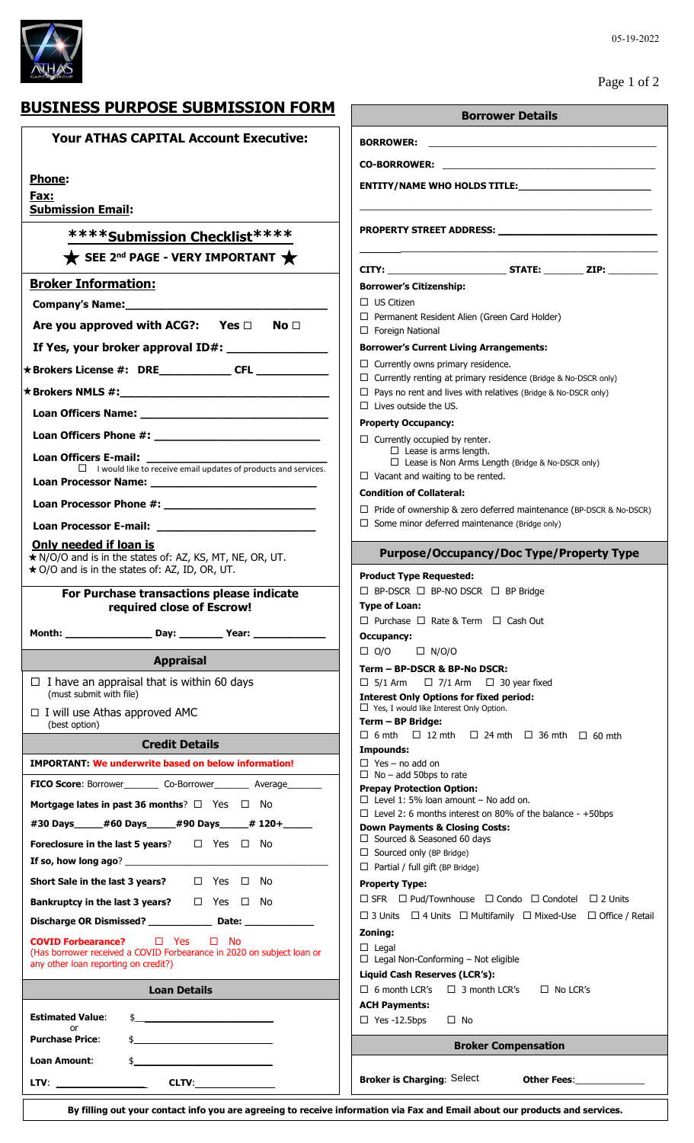

# **BUSINESS PURPOSE SUBMISSION FORM**

| BUSINESS PURPOSE SUBMISSION FORM                                                                                                                                                                                                                                                | <b>Borrower Details</b>                                                                                                                   |
|---------------------------------------------------------------------------------------------------------------------------------------------------------------------------------------------------------------------------------------------------------------------------------|-------------------------------------------------------------------------------------------------------------------------------------------|
| <b>Your ATHAS CAPITAL Account Executive:</b>                                                                                                                                                                                                                                    | <b>BORROWER:</b><br><u> 1980 - Johann Johann Stoff, deutscher Stoffen und der Stoffen und der Stoffen und der Stoffen und der Stoffen</u> |
|                                                                                                                                                                                                                                                                                 |                                                                                                                                           |
| <b>Phone:</b>                                                                                                                                                                                                                                                                   |                                                                                                                                           |
| Fax:<br><b>Submission Email:</b>                                                                                                                                                                                                                                                |                                                                                                                                           |
|                                                                                                                                                                                                                                                                                 |                                                                                                                                           |
| *****Submission Checklist****                                                                                                                                                                                                                                                   |                                                                                                                                           |
| SEE 2 <sup>nd</sup> PAGE - VERY IMPORTANT $\bigstar$                                                                                                                                                                                                                            |                                                                                                                                           |
| <b>Broker Information:</b>                                                                                                                                                                                                                                                      | <b>Borrower's Citizenship:</b>                                                                                                            |
|                                                                                                                                                                                                                                                                                 | $\Box$ US Citizen<br>$\Box$ Permanent Resident Alien (Green Card Holder)                                                                  |
| Are you approved with ACG?: Yes $\Box$<br>No <sub>1</sub>                                                                                                                                                                                                                       | $\Box$ Foreign National                                                                                                                   |
|                                                                                                                                                                                                                                                                                 | <b>Borrower's Current Living Arrangements:</b>                                                                                            |
|                                                                                                                                                                                                                                                                                 | $\Box$ Currently owns primary residence.<br>$\Box$ Currently renting at primary residence (Bridge & No-DSCR only)                         |
|                                                                                                                                                                                                                                                                                 | $\Box$ Pays no rent and lives with relatives (Bridge & No-DSCR only)                                                                      |
|                                                                                                                                                                                                                                                                                 | $\Box$ Lives outside the US.                                                                                                              |
|                                                                                                                                                                                                                                                                                 | <b>Property Occupancy:</b><br>$\Box$ Currently occupied by renter.                                                                        |
|                                                                                                                                                                                                                                                                                 | $\Box$ Lease is arms length.<br>$\Box$ Lease is Non Arms Length (Bridge & No-DSCR only)                                                   |
| $\Box$ I would like to receive email updates of products and services.                                                                                                                                                                                                          | $\Box$ Vacant and waiting to be rented.                                                                                                   |
|                                                                                                                                                                                                                                                                                 | <b>Condition of Collateral:</b>                                                                                                           |
|                                                                                                                                                                                                                                                                                 | $\Box$ Pride of ownership & zero deferred maintenance (BP-DSCR & No-DSCR)<br>$\Box$ Some minor deferred maintenance (Bridge only)         |
| Only needed if loan is                                                                                                                                                                                                                                                          |                                                                                                                                           |
| * N/O/O and is in the states of: AZ, KS, MT, NE, OR, UT.<br>★ O/O and is in the states of: AZ, ID, OR, UT.                                                                                                                                                                      | <b>Purpose/Occupancy/Doc Type/Property Type</b>                                                                                           |
|                                                                                                                                                                                                                                                                                 | <b>Product Type Requested:</b><br>□ BP-DSCR □ BP-NO DSCR □ BP Bridge                                                                      |
| For Purchase transactions please indicate<br>required close of Escrow!                                                                                                                                                                                                          | <b>Type of Loan:</b>                                                                                                                      |
|                                                                                                                                                                                                                                                                                 | $\Box$ Purchase $\Box$ Rate & Term $\Box$ Cash Out                                                                                        |
|                                                                                                                                                                                                                                                                                 | Occupancy:<br>$\Box$ O/O<br>$\Box$ N/O/O                                                                                                  |
| <b>Appraisal</b>                                                                                                                                                                                                                                                                | Term - BP-DSCR & BP-No DSCR:                                                                                                              |
| $\Box$ I have an appraisal that is within 60 days<br>(must submit with file)                                                                                                                                                                                                    | $\Box$ 7/1 Arm $\Box$ 30 year fixed<br>$\Box$ 5/1 Arm<br><b>Interest Only Options for fixed period:</b>                                   |
| $\Box$ I will use Athas approved AMC                                                                                                                                                                                                                                            | $\Box$ Yes, I would like Interest Only Option.                                                                                            |
| (best option)                                                                                                                                                                                                                                                                   | Term - BP Bridge:<br>$\Box$ 6 mth $\Box$ 12 mth $\Box$ 24 mth $\Box$ 36 mth $\Box$ 60 mth                                                 |
| <b>Credit Details</b>                                                                                                                                                                                                                                                           | Impounds:                                                                                                                                 |
| <b>IMPORTANT: We underwrite based on below information!</b>                                                                                                                                                                                                                     | $\Box$ Yes – no add on<br>$\Box$ No – add 50bps to rate                                                                                   |
| FICO Score: Borrower____________ Co-Borrower____________ Average__________                                                                                                                                                                                                      | <b>Prepay Protection Option:</b><br>$\Box$ Level 1: 5% loan amount - No add on.                                                           |
| Mortgage lates in past 36 months? $\Box$ Yes $\Box$ No                                                                                                                                                                                                                          | $\Box$ Level 2: 6 months interest on 80% of the balance - +50bps                                                                          |
| #30 Days_____#60 Days_____#90 Days_____# 120+_____<br>Foreclosure in the last 5 years? $\square$ Yes $\square$ No                                                                                                                                                               | <b>Down Payments &amp; Closing Costs:</b><br>$\Box$ Sourced & Seasoned 60 days                                                            |
| If so, how long ago? $\sqrt{2}$ and $\sqrt{2}$ and $\sqrt{2}$ are $\sqrt{2}$ and $\sqrt{2}$ and $\sqrt{2}$ are $\sqrt{2}$ and $\sqrt{2}$ are $\sqrt{2}$ and $\sqrt{2}$ are $\sqrt{2}$ and $\sqrt{2}$ are $\sqrt{2}$ and $\sqrt{2}$ are $\sqrt{2}$ and $\sqrt{2}$ are $\sqrt{2}$ | $\Box$ Sourced only (BP Bridge)                                                                                                           |
| Short Sale in the last 3 years?<br>□ Yes □ No                                                                                                                                                                                                                                   | $\Box$ Partial / full gift (BP Bridge)<br><b>Property Type:</b>                                                                           |
| Bankruptcy in the last 3 years?<br>$\Box$ Yes $\Box$ No                                                                                                                                                                                                                         | $\Box$ SFR $\Box$ Pud/Townhouse $\Box$ Condo $\Box$ Condotel $\Box$ 2 Units                                                               |
| Discharge OR Dismissed? ________________ Date: _______________                                                                                                                                                                                                                  | $\Box$ 3 Units $\Box$ 4 Units $\Box$ Multifamily $\Box$ Mixed-Use $\Box$ Office / Retail                                                  |
| $\Box$ Yes<br>$\square$ No<br><b>COVID Forbearance?</b>                                                                                                                                                                                                                         | Zoning:<br>$\Box$ Legal                                                                                                                   |
| (Has borrower received a COVID Forbearance in 2020 on subject loan or<br>any other loan reporting on credit?)                                                                                                                                                                   | $\Box$ Legal Non-Conforming - Not eligible                                                                                                |
| <b>Loan Details</b>                                                                                                                                                                                                                                                             | Liquid Cash Reserves (LCR's):<br>$\Box$ 6 month LCR's<br>$\Box$ 3 month LCR's<br>$\Box$ No LCR's                                          |
|                                                                                                                                                                                                                                                                                 | <b>ACH Payments:</b>                                                                                                                      |
| <b>Estimated Value:</b><br>$\frac{1}{2}$<br>or                                                                                                                                                                                                                                  | $\Box$ Yes -12.5bps<br>$\Box$ No                                                                                                          |
| <b>Purchase Price:</b><br>$\frac{1}{2}$                                                                                                                                                                                                                                         | <b>Broker Compensation</b>                                                                                                                |
| Loan Amount:                                                                                                                                                                                                                                                                    |                                                                                                                                           |
|                                                                                                                                                                                                                                                                                 | <b>Broker is Charging: Select</b><br>Other Fees:______________                                                                            |

Page 1 of 2

**By filling out your contact info you are agreeing to receive information via Fax and Email about our products and services.**